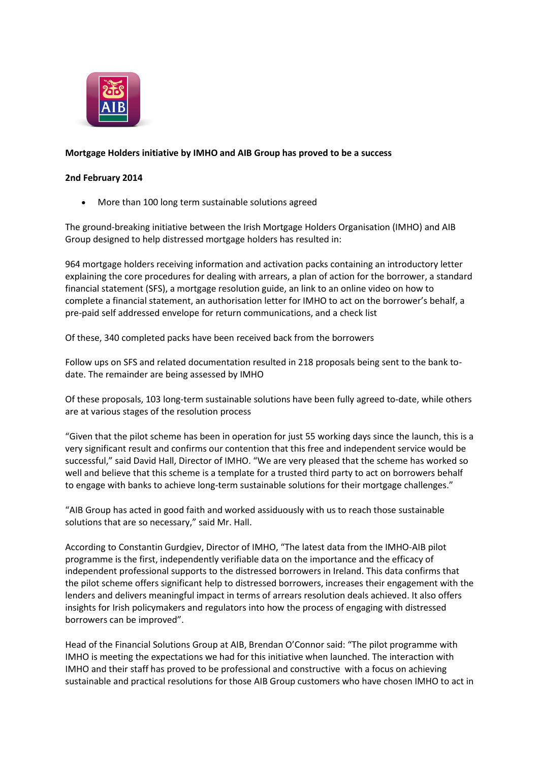

## **Mortgage Holders initiative by IMHO and AIB Group has proved to be a success**

## **2nd February 2014**

More than 100 long term sustainable solutions agreed

The ground-breaking initiative between the Irish Mortgage Holders Organisation (IMHO) and AIB Group designed to help distressed mortgage holders has resulted in:

964 mortgage holders receiving information and activation packs containing an introductory letter explaining the core procedures for dealing with arrears, a plan of action for the borrower, a standard financial statement (SFS), a mortgage resolution guide, an link to an online video on how to complete a financial statement, an authorisation letter for IMHO to act on the borrower's behalf, a pre-paid self addressed envelope for return communications, and a check list

Of these, 340 completed packs have been received back from the borrowers

Follow ups on SFS and related documentation resulted in 218 proposals being sent to the bank todate. The remainder are being assessed by IMHO

Of these proposals, 103 long-term sustainable solutions have been fully agreed to-date, while others are at various stages of the resolution process

"Given that the pilot scheme has been in operation for just 55 working days since the launch, this is a very significant result and confirms our contention that this free and independent service would be successful," said David Hall, Director of IMHO. "We are very pleased that the scheme has worked so well and believe that this scheme is a template for a trusted third party to act on borrowers behalf to engage with banks to achieve long-term sustainable solutions for their mortgage challenges."

"AIB Group has acted in good faith and worked assiduously with us to reach those sustainable solutions that are so necessary," said Mr. Hall.

According to Constantin Gurdgiev, Director of IMHO, "The latest data from the IMHO-AIB pilot programme is the first, independently verifiable data on the importance and the efficacy of independent professional supports to the distressed borrowers in Ireland. This data confirms that the pilot scheme offers significant help to distressed borrowers, increases their engagement with the lenders and delivers meaningful impact in terms of arrears resolution deals achieved. It also offers insights for Irish policymakers and regulators into how the process of engaging with distressed borrowers can be improved".

Head of the Financial Solutions Group at AIB, Brendan O'Connor said: "The pilot programme with IMHO is meeting the expectations we had for this initiative when launched. The interaction with IMHO and their staff has proved to be professional and constructive with a focus on achieving sustainable and practical resolutions for those AIB Group customers who have chosen IMHO to act in